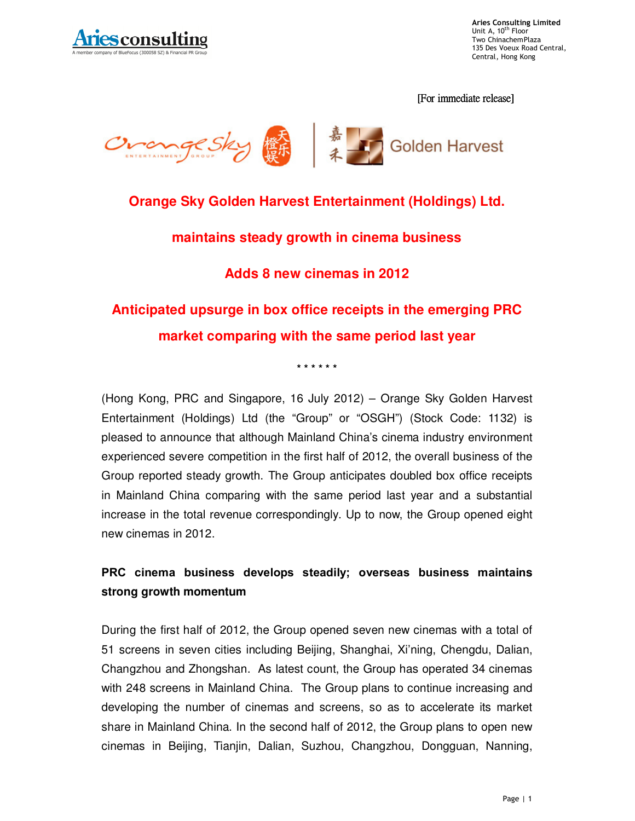

**Aries Consulting Limited**<br>Unit A, 10<sup>th</sup> Floor Two ChinachemPlaza 135 Des Voeux Road Central, Central, Hong Kong

[For immediate release]



## **Orange Sky Golden Harvest Entertainment (Holdings) Ltd.**

#### **maintains steady growth in cinema business**

## **Adds 8 new cinemas in 2012**

# **Anticipated upsurge in box office receipts in the emerging PRC market comparing with the same period last year**

**\* \* \* \* \* \*** 

(Hong Kong, PRC and Singapore, 16 July 2012) – Orange Sky Golden Harvest Entertainment (Holdings) Ltd (the "Group" or "OSGH") (Stock Code: 1132) is pleased to announce that although Mainland China's cinema industry environment experienced severe competition in the first half of 2012, the overall business of the Group reported steady growth. The Group anticipates doubled box office receipts in Mainland China comparing with the same period last year and a substantial increase in the total revenue correspondingly. Up to now, the Group opened eight new cinemas in 2012.

## **PRC cinema business develops steadily; overseas business maintains strong growth momentum**

During the first half of 2012, the Group opened seven new cinemas with a total of 51 screens in seven cities including Beijing, Shanghai, Xi'ning, Chengdu, Dalian, Changzhou and Zhongshan. As latest count, the Group has operated 34 cinemas with 248 screens in Mainland China. The Group plans to continue increasing and developing the number of cinemas and screens, so as to accelerate its market share in Mainland China. In the second half of 2012, the Group plans to open new cinemas in Beijing, Tianjin, Dalian, Suzhou, Changzhou, Dongguan, Nanning,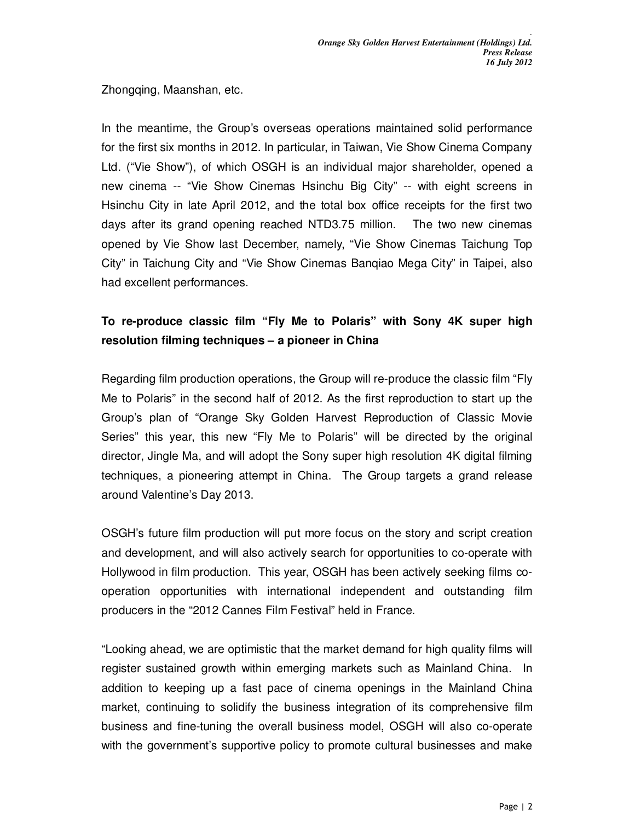*.* 

Zhongqing, Maanshan, etc.

In the meantime, the Group's overseas operations maintained solid performance for the first six months in 2012. In particular, in Taiwan, Vie Show Cinema Company Ltd. ("Vie Show"), of which OSGH is an individual major shareholder, opened a new cinema -- "Vie Show Cinemas Hsinchu Big City" -- with eight screens in Hsinchu City in late April 2012, and the total box office receipts for the first two days after its grand opening reached NTD3.75 million. The two new cinemas opened by Vie Show last December, namely, "Vie Show Cinemas Taichung Top City" in Taichung City and "Vie Show Cinemas Banqiao Mega City" in Taipei, also had excellent performances.

## **To re-produce classic film "Fly Me to Polaris" with Sony 4K super high resolution filming techniques – a pioneer in China**

Regarding film production operations, the Group will re-produce the classic film "Fly Me to Polaris" in the second half of 2012. As the first reproduction to start up the Group's plan of "Orange Sky Golden Harvest Reproduction of Classic Movie Series" this year, this new "Fly Me to Polaris" will be directed by the original director, Jingle Ma, and will adopt the Sony super high resolution 4K digital filming techniques, a pioneering attempt in China. The Group targets a grand release around Valentine's Day 2013.

OSGH's future film production will put more focus on the story and script creation and development, and will also actively search for opportunities to co-operate with Hollywood in film production. This year, OSGH has been actively seeking films cooperation opportunities with international independent and outstanding film producers in the "2012 Cannes Film Festival" held in France.

"Looking ahead, we are optimistic that the market demand for high quality films will register sustained growth within emerging markets such as Mainland China. In addition to keeping up a fast pace of cinema openings in the Mainland China market, continuing to solidify the business integration of its comprehensive film business and fine-tuning the overall business model, OSGH will also co-operate with the government's supportive policy to promote cultural businesses and make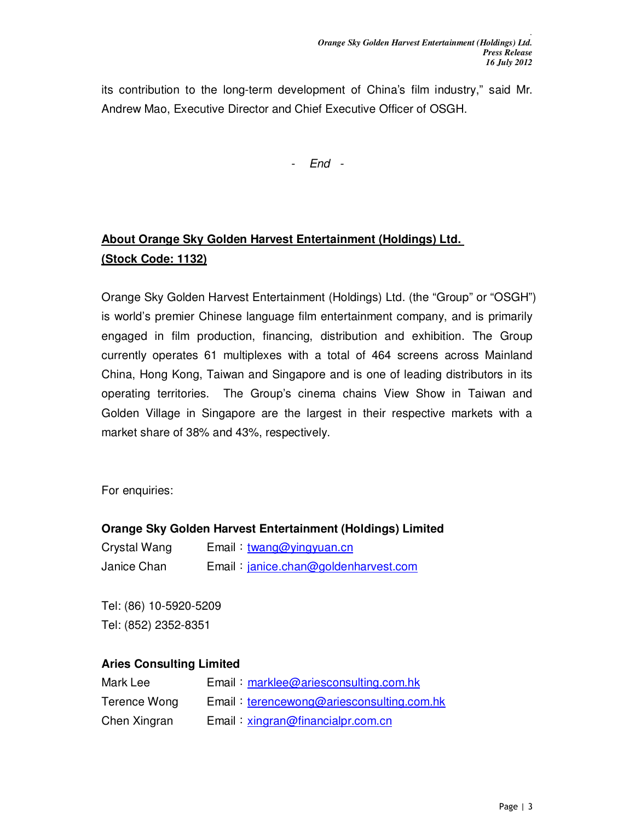*.* 

its contribution to the long-term development of China's film industry," said Mr. Andrew Mao, Executive Director and Chief Executive Officer of OSGH.

- End -

# **About Orange Sky Golden Harvest Entertainment (Holdings) Ltd. (Stock Code: 1132)**

Orange Sky Golden Harvest Entertainment (Holdings) Ltd. (the "Group" or "OSGH") is world's premier Chinese language film entertainment company, and is primarily engaged in film production, financing, distribution and exhibition. The Group currently operates 61 multiplexes with a total of 464 screens across Mainland China, Hong Kong, Taiwan and Singapore and is one of leading distributors in its operating territories. The Group's cinema chains View Show in Taiwan and Golden Village in Singapore are the largest in their respective markets with a market share of 38% and 43%, respectively.

For enquiries:

#### **Orange Sky Golden Harvest Entertainment (Holdings) Limited**

| Crystal Wang | Email: twang@yingyuan.cn             |
|--------------|--------------------------------------|
| Janice Chan  | Email: janice.chan@goldenharvest.com |

Tel: (86) 10-5920-5209 Tel: (852) 2352-8351

#### **Aries Consulting Limited**

| Mark Lee     | Email: marklee@ariesconsulting.com.hk     |
|--------------|-------------------------------------------|
| Terence Wong | Email: terencewong@ariesconsulting.com.hk |
| Chen Xingran | Email: xingran@financialpr.com.cn         |